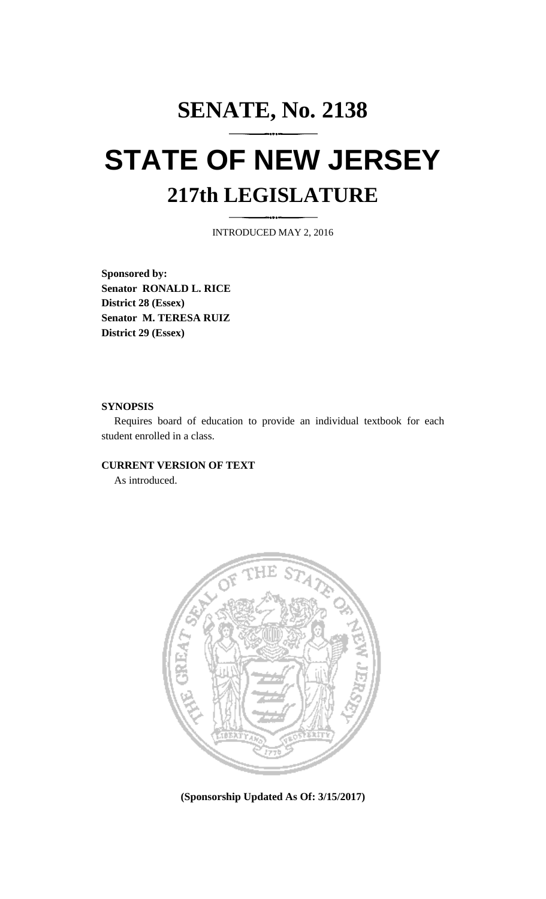## **SENATE, No. 2138 STATE OF NEW JERSEY 217th LEGISLATURE**

INTRODUCED MAY 2, 2016

**Sponsored by: Senator RONALD L. RICE District 28 (Essex) Senator M. TERESA RUIZ District 29 (Essex)**

## **SYNOPSIS**

Requires board of education to provide an individual textbook for each student enrolled in a class.

## **CURRENT VERSION OF TEXT**

As introduced.



**(Sponsorship Updated As Of: 3/15/2017)**